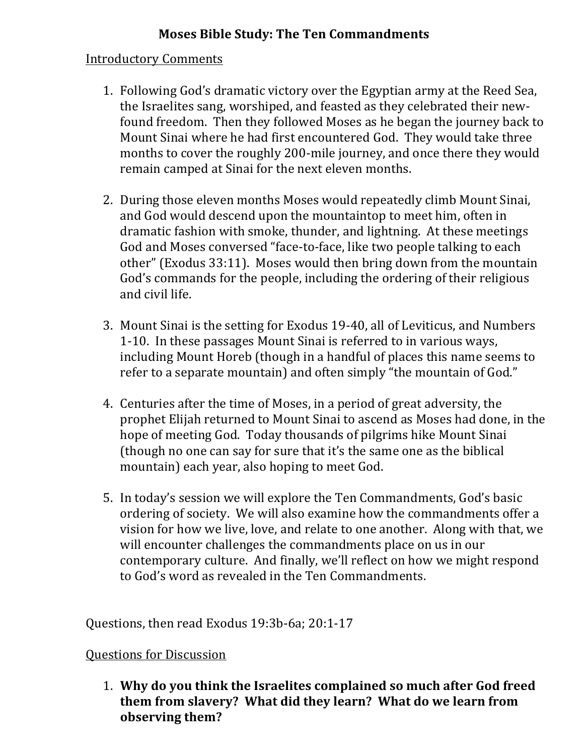## **Moses Bible Study: The Ten Commandments**

## Introductory Comments

- 1. Following God's dramatic victory over the Egyptian army at the Reed Sea, the Israelites sang, worshiped, and feasted as they celebrated their newfound freedom. Then they followed Moses as he began the journey back to Mount Sinai where he had first encountered God. They would take three months to cover the roughly 200-mile journey, and once there they would remain camped at Sinai for the next eleven months.
- 2. During those eleven months Moses would repeatedly climb Mount Sinai, and God would descend upon the mountaintop to meet him, often in dramatic fashion with smoke, thunder, and lightning. At these meetings God and Moses conversed "face-to-face, like two people talking to each other" (Exodus 33:11). Moses would then bring down from the mountain God's commands for the people, including the ordering of their religious and civil life.
- 3. Mount Sinai is the setting for Exodus 19-40, all of Leviticus, and Numbers 1-10. In these passages Mount Sinai is referred to in various ways, including Mount Horeb (though in a handful of places this name seems to refer to a separate mountain) and often simply "the mountain of God."
- 4. Centuries after the time of Moses, in a period of great adversity, the prophet Elijah returned to Mount Sinai to ascend as Moses had done, in the hope of meeting God. Today thousands of pilgrims hike Mount Sinai (though no one can say for sure that it's the same one as the biblical mountain) each year, also hoping to meet God.
- 5. In today's session we will explore the Ten Commandments, God's basic ordering of society. We will also examine how the commandments offer a vision for how we live, love, and relate to one another. Along with that, we will encounter challenges the commandments place on us in our contemporary culture. And finally, we'll reflect on how we might respond to God's word as revealed in the Ten Commandments.

Questions, then read Exodus 19:3b-6a; 20:1-17

## **Questions for Discussion**

1. Why do you think the Israelites complained so much after God freed them from slavery? What did they learn? What do we learn from **observing them?**